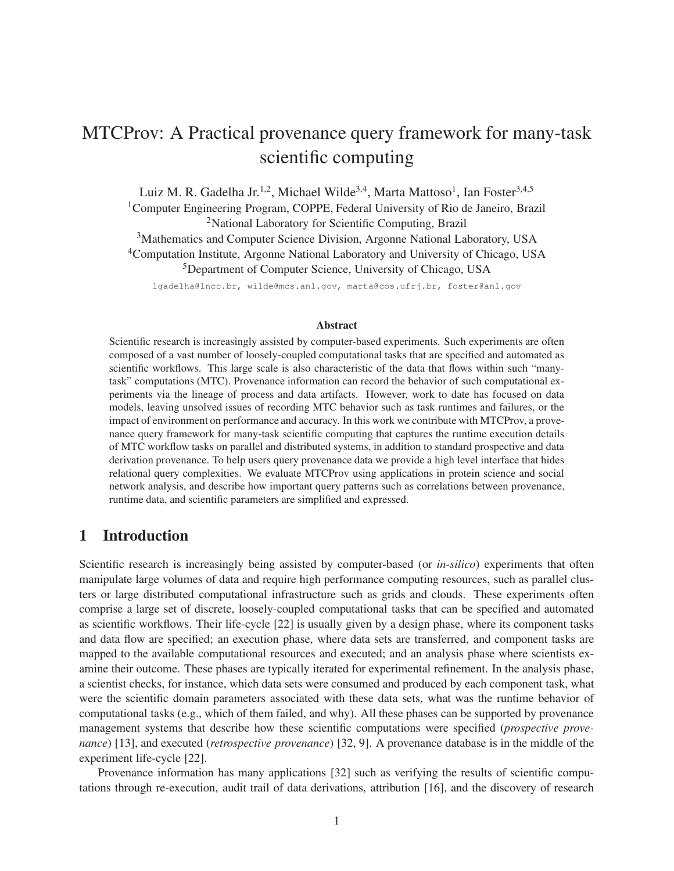# MTCProv: A Practical provenance query framework for many-task scientific computing

Luiz M. R. Gadelha Jr.<sup>1,2</sup>, Michael Wilde<sup>3,4</sup>, Marta Mattoso<sup>1</sup>, Ian Foster<sup>3,4,5</sup> <sup>1</sup>Computer Engineering Program, COPPE, Federal University of Rio de Janeiro, Brazil <sup>2</sup>National Laboratory for Scientific Computing, Brazil <sup>3</sup>Mathematics and Computer Science Division, Argonne National Laboratory, USA <sup>4</sup>Computation Institute, Argonne National Laboratory and University of Chicago, USA <sup>5</sup>Department of Computer Science, University of Chicago, USA lgadelha@lncc.br, wilde@mcs.anl.gov, marta@cos.ufrj.br, foster@anl.gov

#### Abstract

Scientific research is increasingly assisted by computer-based experiments. Such experiments are often composed of a vast number of loosely-coupled computational tasks that are specified and automated as scientific workflows. This large scale is also characteristic of the data that flows within such "manytask" computations (MTC). Provenance information can record the behavior of such computational experiments via the lineage of process and data artifacts. However, work to date has focused on data models, leaving unsolved issues of recording MTC behavior such as task runtimes and failures, or the impact of environment on performance and accuracy. In this work we contribute with MTCProv, a provenance query framework for many-task scientific computing that captures the runtime execution details of MTC workflow tasks on parallel and distributed systems, in addition to standard prospective and data derivation provenance. To help users query provenance data we provide a high level interface that hides relational query complexities. We evaluate MTCProv using applications in protein science and social network analysis, and describe how important query patterns such as correlations between provenance, runtime data, and scientific parameters are simplified and expressed.

# 1 Introduction

Scientific research is increasingly being assisted by computer-based (or *in-silico*) experiments that often manipulate large volumes of data and require high performance computing resources, such as parallel clusters or large distributed computational infrastructure such as grids and clouds. These experiments often comprise a large set of discrete, loosely-coupled computational tasks that can be specified and automated as scientific workflows. Their life-cycle [22] is usually given by a design phase, where its component tasks and data flow are specified; an execution phase, where data sets are transferred, and component tasks are mapped to the available computational resources and executed; and an analysis phase where scientists examine their outcome. These phases are typically iterated for experimental refinement. In the analysis phase, a scientist checks, for instance, which data sets were consumed and produced by each component task, what were the scientific domain parameters associated with these data sets, what was the runtime behavior of computational tasks (e.g., which of them failed, and why). All these phases can be supported by provenance management systems that describe how these scientific computations were specified (*prospective provenance*) [13], and executed (*retrospective provenance*) [32, 9]. A provenance database is in the middle of the experiment life-cycle [22].

Provenance information has many applications [32] such as verifying the results of scientific computations through re-execution, audit trail of data derivations, attribution [16], and the discovery of research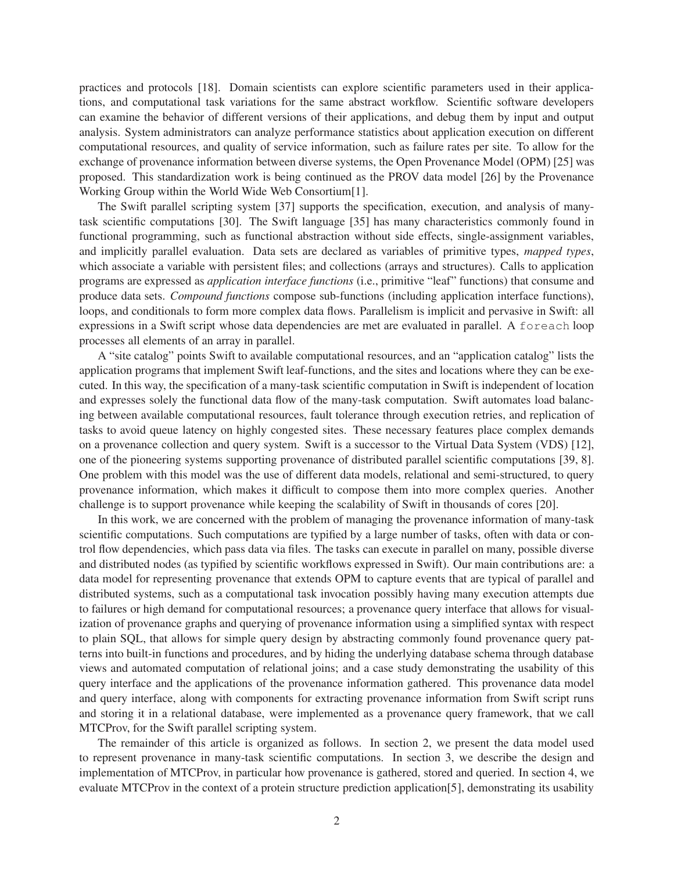practices and protocols [18]. Domain scientists can explore scientific parameters used in their applications, and computational task variations for the same abstract workflow. Scientific software developers can examine the behavior of different versions of their applications, and debug them by input and output analysis. System administrators can analyze performance statistics about application execution on different computational resources, and quality of service information, such as failure rates per site. To allow for the exchange of provenance information between diverse systems, the Open Provenance Model (OPM) [25] was proposed. This standardization work is being continued as the PROV data model [26] by the Provenance Working Group within the World Wide Web Consortium[1].

The Swift parallel scripting system [37] supports the specification, execution, and analysis of manytask scientific computations [30]. The Swift language [35] has many characteristics commonly found in functional programming, such as functional abstraction without side effects, single-assignment variables, and implicitly parallel evaluation. Data sets are declared as variables of primitive types, *mapped types*, which associate a variable with persistent files; and collections (arrays and structures). Calls to application programs are expressed as *application interface functions* (i.e., primitive "leaf" functions) that consume and produce data sets. *Compound functions* compose sub-functions (including application interface functions), loops, and conditionals to form more complex data flows. Parallelism is implicit and pervasive in Swift: all expressions in a Swift script whose data dependencies are met are evaluated in parallel. A foreach loop processes all elements of an array in parallel.

A "site catalog" points Swift to available computational resources, and an "application catalog" lists the application programs that implement Swift leaf-functions, and the sites and locations where they can be executed. In this way, the specification of a many-task scientific computation in Swift is independent of location and expresses solely the functional data flow of the many-task computation. Swift automates load balancing between available computational resources, fault tolerance through execution retries, and replication of tasks to avoid queue latency on highly congested sites. These necessary features place complex demands on a provenance collection and query system. Swift is a successor to the Virtual Data System (VDS) [12], one of the pioneering systems supporting provenance of distributed parallel scientific computations [39, 8]. One problem with this model was the use of different data models, relational and semi-structured, to query provenance information, which makes it difficult to compose them into more complex queries. Another challenge is to support provenance while keeping the scalability of Swift in thousands of cores [20].

In this work, we are concerned with the problem of managing the provenance information of many-task scientific computations. Such computations are typified by a large number of tasks, often with data or control flow dependencies, which pass data via files. The tasks can execute in parallel on many, possible diverse and distributed nodes (as typified by scientific workflows expressed in Swift). Our main contributions are: a data model for representing provenance that extends OPM to capture events that are typical of parallel and distributed systems, such as a computational task invocation possibly having many execution attempts due to failures or high demand for computational resources; a provenance query interface that allows for visualization of provenance graphs and querying of provenance information using a simplified syntax with respect to plain SQL, that allows for simple query design by abstracting commonly found provenance query patterns into built-in functions and procedures, and by hiding the underlying database schema through database views and automated computation of relational joins; and a case study demonstrating the usability of this query interface and the applications of the provenance information gathered. This provenance data model and query interface, along with components for extracting provenance information from Swift script runs and storing it in a relational database, were implemented as a provenance query framework, that we call MTCProv, for the Swift parallel scripting system.

The remainder of this article is organized as follows. In section 2, we present the data model used to represent provenance in many-task scientific computations. In section 3, we describe the design and implementation of MTCProv, in particular how provenance is gathered, stored and queried. In section 4, we evaluate MTCProv in the context of a protein structure prediction application[5], demonstrating its usability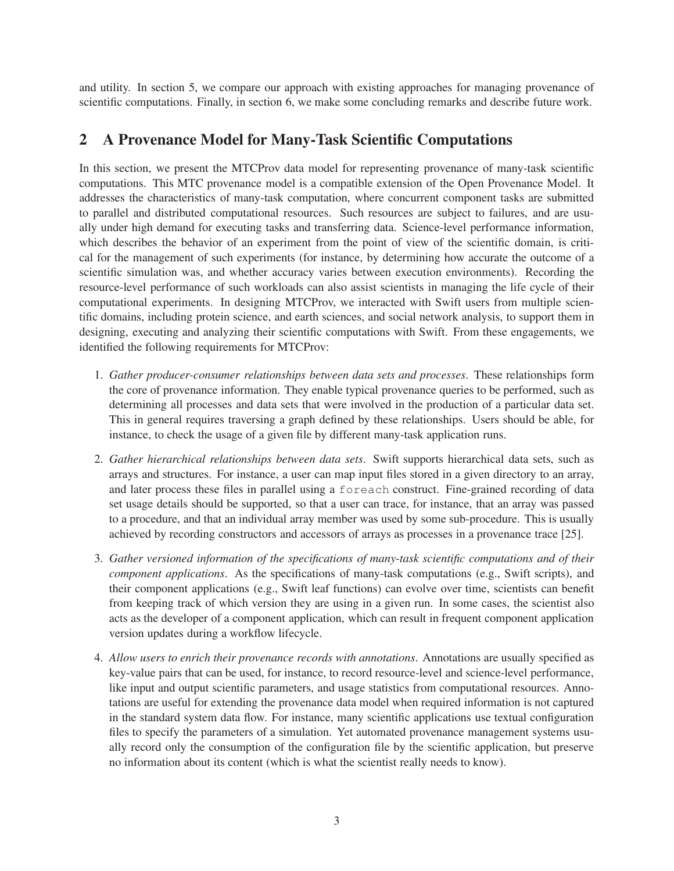and utility. In section 5, we compare our approach with existing approaches for managing provenance of scientific computations. Finally, in section 6, we make some concluding remarks and describe future work.

# 2 A Provenance Model for Many-Task Scientific Computations

In this section, we present the MTCProv data model for representing provenance of many-task scientific computations. This MTC provenance model is a compatible extension of the Open Provenance Model. It addresses the characteristics of many-task computation, where concurrent component tasks are submitted to parallel and distributed computational resources. Such resources are subject to failures, and are usually under high demand for executing tasks and transferring data. Science-level performance information, which describes the behavior of an experiment from the point of view of the scientific domain, is critical for the management of such experiments (for instance, by determining how accurate the outcome of a scientific simulation was, and whether accuracy varies between execution environments). Recording the resource-level performance of such workloads can also assist scientists in managing the life cycle of their computational experiments. In designing MTCProv, we interacted with Swift users from multiple scientific domains, including protein science, and earth sciences, and social network analysis, to support them in designing, executing and analyzing their scientific computations with Swift. From these engagements, we identified the following requirements for MTCProv:

- 1. *Gather producer-consumer relationships between data sets and processes*. These relationships form the core of provenance information. They enable typical provenance queries to be performed, such as determining all processes and data sets that were involved in the production of a particular data set. This in general requires traversing a graph defined by these relationships. Users should be able, for instance, to check the usage of a given file by different many-task application runs.
- 2. *Gather hierarchical relationships between data sets*. Swift supports hierarchical data sets, such as arrays and structures. For instance, a user can map input files stored in a given directory to an array, and later process these files in parallel using a foreach construct. Fine-grained recording of data set usage details should be supported, so that a user can trace, for instance, that an array was passed to a procedure, and that an individual array member was used by some sub-procedure. This is usually achieved by recording constructors and accessors of arrays as processes in a provenance trace [25].
- 3. *Gather versioned information of the specifications of many-task scientific computations and of their component applications*. As the specifications of many-task computations (e.g., Swift scripts), and their component applications (e.g., Swift leaf functions) can evolve over time, scientists can benefit from keeping track of which version they are using in a given run. In some cases, the scientist also acts as the developer of a component application, which can result in frequent component application version updates during a workflow lifecycle.
- 4. *Allow users to enrich their provenance records with annotations*. Annotations are usually specified as key-value pairs that can be used, for instance, to record resource-level and science-level performance, like input and output scientific parameters, and usage statistics from computational resources. Annotations are useful for extending the provenance data model when required information is not captured in the standard system data flow. For instance, many scientific applications use textual configuration files to specify the parameters of a simulation. Yet automated provenance management systems usually record only the consumption of the configuration file by the scientific application, but preserve no information about its content (which is what the scientist really needs to know).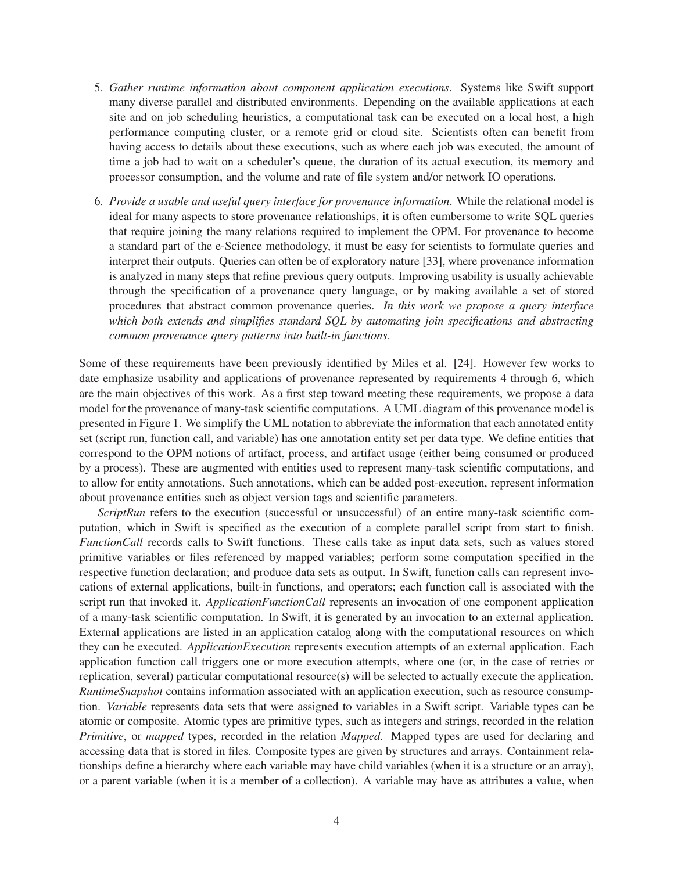- 5. *Gather runtime information about component application executions*. Systems like Swift support many diverse parallel and distributed environments. Depending on the available applications at each site and on job scheduling heuristics, a computational task can be executed on a local host, a high performance computing cluster, or a remote grid or cloud site. Scientists often can benefit from having access to details about these executions, such as where each job was executed, the amount of time a job had to wait on a scheduler's queue, the duration of its actual execution, its memory and processor consumption, and the volume and rate of file system and/or network IO operations.
- 6. *Provide a usable and useful query interface for provenance information*. While the relational model is ideal for many aspects to store provenance relationships, it is often cumbersome to write SQL queries that require joining the many relations required to implement the OPM. For provenance to become a standard part of the e-Science methodology, it must be easy for scientists to formulate queries and interpret their outputs. Queries can often be of exploratory nature [33], where provenance information is analyzed in many steps that refine previous query outputs. Improving usability is usually achievable through the specification of a provenance query language, or by making available a set of stored procedures that abstract common provenance queries. *In this work we propose a query interface which both extends and simplifies standard SQL by automating join specifications and abstracting common provenance query patterns into built-in functions*.

Some of these requirements have been previously identified by Miles et al. [24]. However few works to date emphasize usability and applications of provenance represented by requirements 4 through 6, which are the main objectives of this work. As a first step toward meeting these requirements, we propose a data model for the provenance of many-task scientific computations. A UML diagram of this provenance model is presented in Figure 1. We simplify the UML notation to abbreviate the information that each annotated entity set (script run, function call, and variable) has one annotation entity set per data type. We define entities that correspond to the OPM notions of artifact, process, and artifact usage (either being consumed or produced by a process). These are augmented with entities used to represent many-task scientific computations, and to allow for entity annotations. Such annotations, which can be added post-execution, represent information about provenance entities such as object version tags and scientific parameters.

*ScriptRun* refers to the execution (successful or unsuccessful) of an entire many-task scientific computation, which in Swift is specified as the execution of a complete parallel script from start to finish. *FunctionCall* records calls to Swift functions. These calls take as input data sets, such as values stored primitive variables or files referenced by mapped variables; perform some computation specified in the respective function declaration; and produce data sets as output. In Swift, function calls can represent invocations of external applications, built-in functions, and operators; each function call is associated with the script run that invoked it. *ApplicationFunctionCall* represents an invocation of one component application of a many-task scientific computation. In Swift, it is generated by an invocation to an external application. External applications are listed in an application catalog along with the computational resources on which they can be executed. *ApplicationExecution* represents execution attempts of an external application. Each application function call triggers one or more execution attempts, where one (or, in the case of retries or replication, several) particular computational resource(s) will be selected to actually execute the application. *RuntimeSnapshot* contains information associated with an application execution, such as resource consumption. *Variable* represents data sets that were assigned to variables in a Swift script. Variable types can be atomic or composite. Atomic types are primitive types, such as integers and strings, recorded in the relation *Primitive*, or *mapped* types, recorded in the relation *Mapped*. Mapped types are used for declaring and accessing data that is stored in files. Composite types are given by structures and arrays. Containment relationships define a hierarchy where each variable may have child variables (when it is a structure or an array), or a parent variable (when it is a member of a collection). A variable may have as attributes a value, when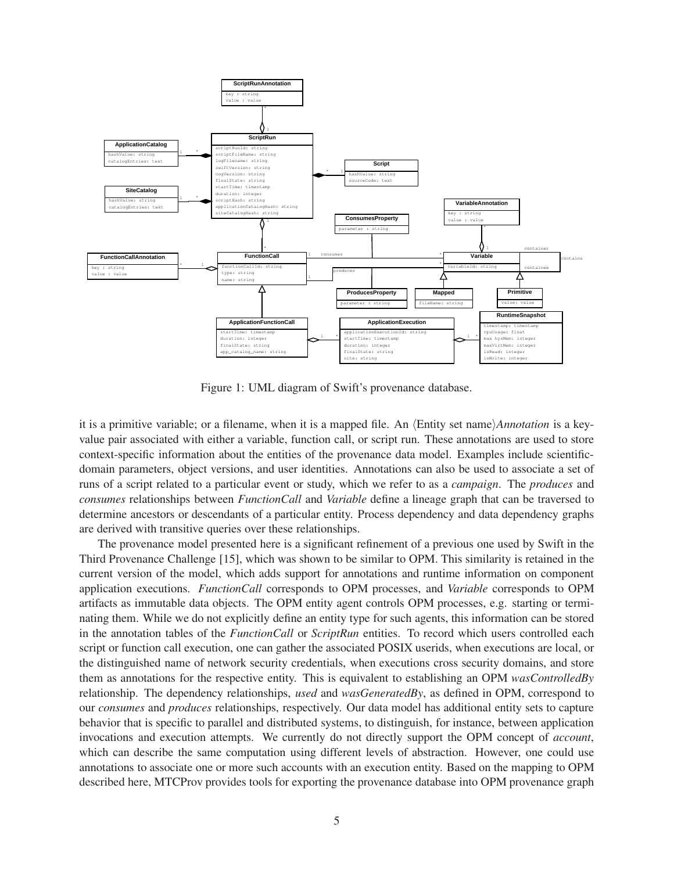

Figure 1: UML diagram of Swift's provenance database.

it is a primitive variable; or a filename, when it is a mapped file. An  $\langle$ Entity set name $\rangle$ *Annotation* is a keyvalue pair associated with either a variable, function call, or script run. These annotations are used to store context-specific information about the entities of the provenance data model. Examples include scientificdomain parameters, object versions, and user identities. Annotations can also be used to associate a set of runs of a script related to a particular event or study, which we refer to as a *campaign*. The *produces* and *consumes* relationships between *FunctionCall* and *Variable* define a lineage graph that can be traversed to determine ancestors or descendants of a particular entity. Process dependency and data dependency graphs are derived with transitive queries over these relationships.

The provenance model presented here is a significant refinement of a previous one used by Swift in the Third Provenance Challenge [15], which was shown to be similar to OPM. This similarity is retained in the current version of the model, which adds support for annotations and runtime information on component application executions. *FunctionCall* corresponds to OPM processes, and *Variable* corresponds to OPM artifacts as immutable data objects. The OPM entity agent controls OPM processes, e.g. starting or terminating them. While we do not explicitly define an entity type for such agents, this information can be stored in the annotation tables of the *FunctionCall* or *ScriptRun* entities. To record which users controlled each script or function call execution, one can gather the associated POSIX userids, when executions are local, or the distinguished name of network security credentials, when executions cross security domains, and store them as annotations for the respective entity. This is equivalent to establishing an OPM *wasControlledBy* relationship. The dependency relationships, *used* and *wasGeneratedBy*, as defined in OPM, correspond to our *consumes* and *produces* relationships, respectively. Our data model has additional entity sets to capture behavior that is specific to parallel and distributed systems, to distinguish, for instance, between application invocations and execution attempts. We currently do not directly support the OPM concept of *account*, which can describe the same computation using different levels of abstraction. However, one could use annotations to associate one or more such accounts with an execution entity. Based on the mapping to OPM described here, MTCProv provides tools for exporting the provenance database into OPM provenance graph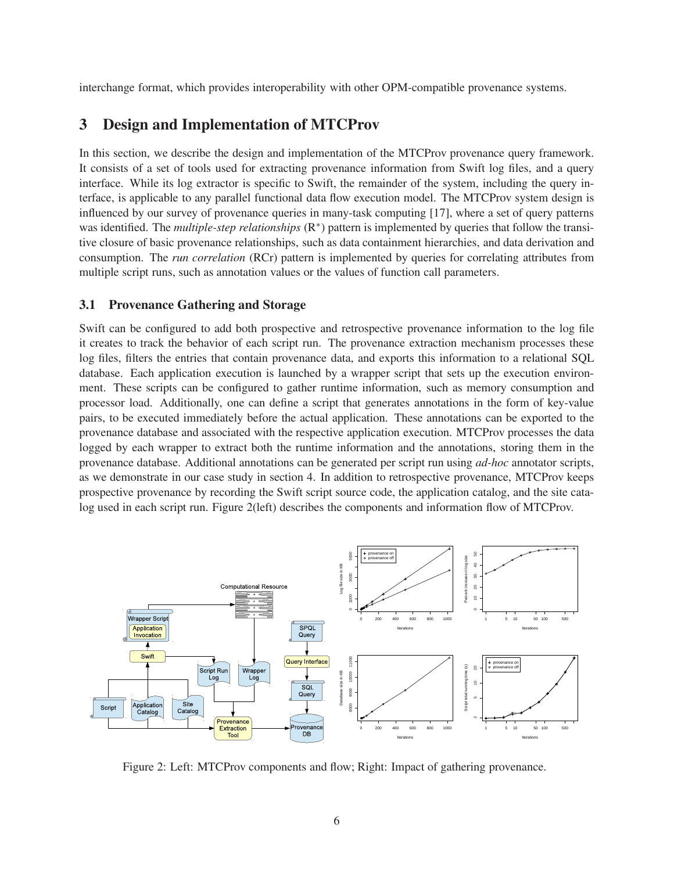interchange format, which provides interoperability with other OPM-compatible provenance systems.

# 3 Design and Implementation of MTCProv

In this section, we describe the design and implementation of the MTCProv provenance query framework. It consists of a set of tools used for extracting provenance information from Swift log files, and a query interface. While its log extractor is specific to Swift, the remainder of the system, including the query interface, is applicable to any parallel functional data flow execution model. The MTCProv system design is influenced by our survey of provenance queries in many-task computing [17], where a set of query patterns was identified. The *multiple-step relationships* (R<sup>∗</sup>) pattern is implemented by queries that follow the transitive closure of basic provenance relationships, such as data containment hierarchies, and data derivation and consumption. The *run correlation* (RCr) pattern is implemented by queries for correlating attributes from multiple script runs, such as annotation values or the values of function call parameters.

# 3.1 Provenance Gathering and Storage

Swift can be configured to add both prospective and retrospective provenance information to the log file it creates to track the behavior of each script run. The provenance extraction mechanism processes these log files, filters the entries that contain provenance data, and exports this information to a relational SQL database. Each application execution is launched by a wrapper script that sets up the execution environment. These scripts can be configured to gather runtime information, such as memory consumption and processor load. Additionally, one can define a script that generates annotations in the form of key-value pairs, to be executed immediately before the actual application. These annotations can be exported to the provenance database and associated with the respective application execution. MTCProv processes the data logged by each wrapper to extract both the runtime information and the annotations, storing them in the provenance database. Additional annotations can be generated per script run using *ad-hoc* annotator scripts, as we demonstrate in our case study in section 4. In addition to retrospective provenance, MTCProv keeps prospective provenance by recording the Swift script source code, the application catalog, and the site catalog used in each script run. Figure 2(left) describes the components and information flow of MTCProv.



Figure 2: Left: MTCProv components and flow; Right: Impact of gathering provenance.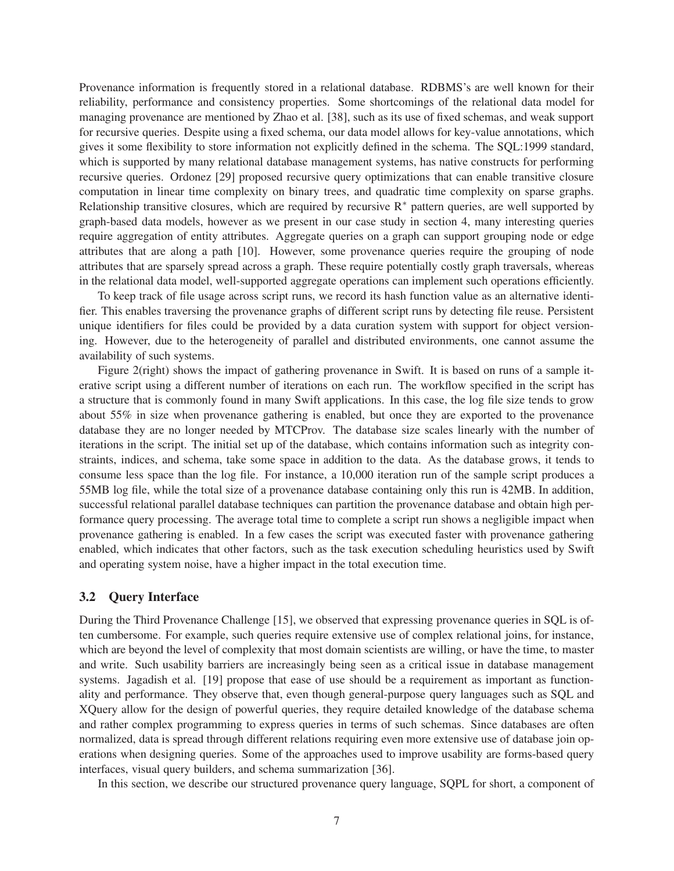Provenance information is frequently stored in a relational database. RDBMS's are well known for their reliability, performance and consistency properties. Some shortcomings of the relational data model for managing provenance are mentioned by Zhao et al. [38], such as its use of fixed schemas, and weak support for recursive queries. Despite using a fixed schema, our data model allows for key-value annotations, which gives it some flexibility to store information not explicitly defined in the schema. The SQL:1999 standard, which is supported by many relational database management systems, has native constructs for performing recursive queries. Ordonez [29] proposed recursive query optimizations that can enable transitive closure computation in linear time complexity on binary trees, and quadratic time complexity on sparse graphs. Relationship transitive closures, which are required by recursive R<sup>∗</sup> pattern queries, are well supported by graph-based data models, however as we present in our case study in section 4, many interesting queries require aggregation of entity attributes. Aggregate queries on a graph can support grouping node or edge attributes that are along a path [10]. However, some provenance queries require the grouping of node attributes that are sparsely spread across a graph. These require potentially costly graph traversals, whereas in the relational data model, well-supported aggregate operations can implement such operations efficiently.

To keep track of file usage across script runs, we record its hash function value as an alternative identifier. This enables traversing the provenance graphs of different script runs by detecting file reuse. Persistent unique identifiers for files could be provided by a data curation system with support for object versioning. However, due to the heterogeneity of parallel and distributed environments, one cannot assume the availability of such systems.

Figure 2(right) shows the impact of gathering provenance in Swift. It is based on runs of a sample iterative script using a different number of iterations on each run. The workflow specified in the script has a structure that is commonly found in many Swift applications. In this case, the log file size tends to grow about 55% in size when provenance gathering is enabled, but once they are exported to the provenance database they are no longer needed by MTCProv. The database size scales linearly with the number of iterations in the script. The initial set up of the database, which contains information such as integrity constraints, indices, and schema, take some space in addition to the data. As the database grows, it tends to consume less space than the log file. For instance, a 10,000 iteration run of the sample script produces a 55MB log file, while the total size of a provenance database containing only this run is 42MB. In addition, successful relational parallel database techniques can partition the provenance database and obtain high performance query processing. The average total time to complete a script run shows a negligible impact when provenance gathering is enabled. In a few cases the script was executed faster with provenance gathering enabled, which indicates that other factors, such as the task execution scheduling heuristics used by Swift and operating system noise, have a higher impact in the total execution time.

### 3.2 Query Interface

During the Third Provenance Challenge [15], we observed that expressing provenance queries in SQL is often cumbersome. For example, such queries require extensive use of complex relational joins, for instance, which are beyond the level of complexity that most domain scientists are willing, or have the time, to master and write. Such usability barriers are increasingly being seen as a critical issue in database management systems. Jagadish et al. [19] propose that ease of use should be a requirement as important as functionality and performance. They observe that, even though general-purpose query languages such as SQL and XQuery allow for the design of powerful queries, they require detailed knowledge of the database schema and rather complex programming to express queries in terms of such schemas. Since databases are often normalized, data is spread through different relations requiring even more extensive use of database join operations when designing queries. Some of the approaches used to improve usability are forms-based query interfaces, visual query builders, and schema summarization [36].

In this section, we describe our structured provenance query language, SQPL for short, a component of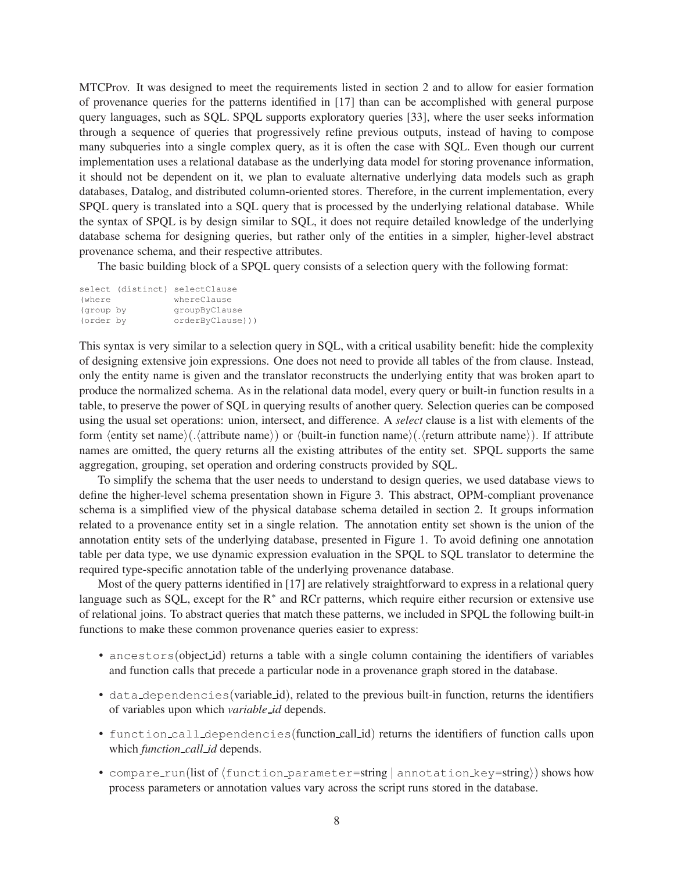MTCProv. It was designed to meet the requirements listed in section 2 and to allow for easier formation of provenance queries for the patterns identified in [17] than can be accomplished with general purpose query languages, such as SQL. SPQL supports exploratory queries [33], where the user seeks information through a sequence of queries that progressively refine previous outputs, instead of having to compose many subqueries into a single complex query, as it is often the case with SQL. Even though our current implementation uses a relational database as the underlying data model for storing provenance information, it should not be dependent on it, we plan to evaluate alternative underlying data models such as graph databases, Datalog, and distributed column-oriented stores. Therefore, in the current implementation, every SPQL query is translated into a SQL query that is processed by the underlying relational database. While the syntax of SPQL is by design similar to SQL, it does not require detailed knowledge of the underlying database schema for designing queries, but rather only of the entities in a simpler, higher-level abstract provenance schema, and their respective attributes.

The basic building block of a SPQL query consists of a selection query with the following format:

|           | select (distinct) selectClause |
|-----------|--------------------------------|
| (where    | whereClause                    |
| (group by | qroupByClause                  |
| (order by | orderByClause)))               |

This syntax is very similar to a selection query in SQL, with a critical usability benefit: hide the complexity of designing extensive join expressions. One does not need to provide all tables of the from clause. Instead, only the entity name is given and the translator reconstructs the underlying entity that was broken apart to produce the normalized schema. As in the relational data model, every query or built-in function results in a table, to preserve the power of SQL in querying results of another query. Selection queries can be composed using the usual set operations: union, intersect, and difference. A *select* clause is a list with elements of the form  $\langle$ entity set name $\rangle$ (. $\langle$ attribute name $\rangle$ ) or  $\langle$ built-in function name $\rangle$ (. $\langle$ return attribute name $\rangle$ ). If attribute names are omitted, the query returns all the existing attributes of the entity set. SPQL supports the same aggregation, grouping, set operation and ordering constructs provided by SQL.

To simplify the schema that the user needs to understand to design queries, we used database views to define the higher-level schema presentation shown in Figure 3. This abstract, OPM-compliant provenance schema is a simplified view of the physical database schema detailed in section 2. It groups information related to a provenance entity set in a single relation. The annotation entity set shown is the union of the annotation entity sets of the underlying database, presented in Figure 1. To avoid defining one annotation table per data type, we use dynamic expression evaluation in the SPQL to SQL translator to determine the required type-specific annotation table of the underlying provenance database.

Most of the query patterns identified in [17] are relatively straightforward to express in a relational query language such as SQL, except for the R<sup>∗</sup> and RCr patterns, which require either recursion or extensive use of relational joins. To abstract queries that match these patterns, we included in SPQL the following built-in functions to make these common provenance queries easier to express:

- ancestors(object\_id) returns a table with a single column containing the identifiers of variables and function calls that precede a particular node in a provenance graph stored in the database.
- data dependencies(variable id), related to the previous built-in function, returns the identifiers of variables upon which *variable id* depends.
- function call dependencies(function call id) returns the identifiers of function calls upon which *function call id* depends.
- compare\_run(list of  $f$ unction\_parameter=string | annotation\_key=string) shows how process parameters or annotation values vary across the script runs stored in the database.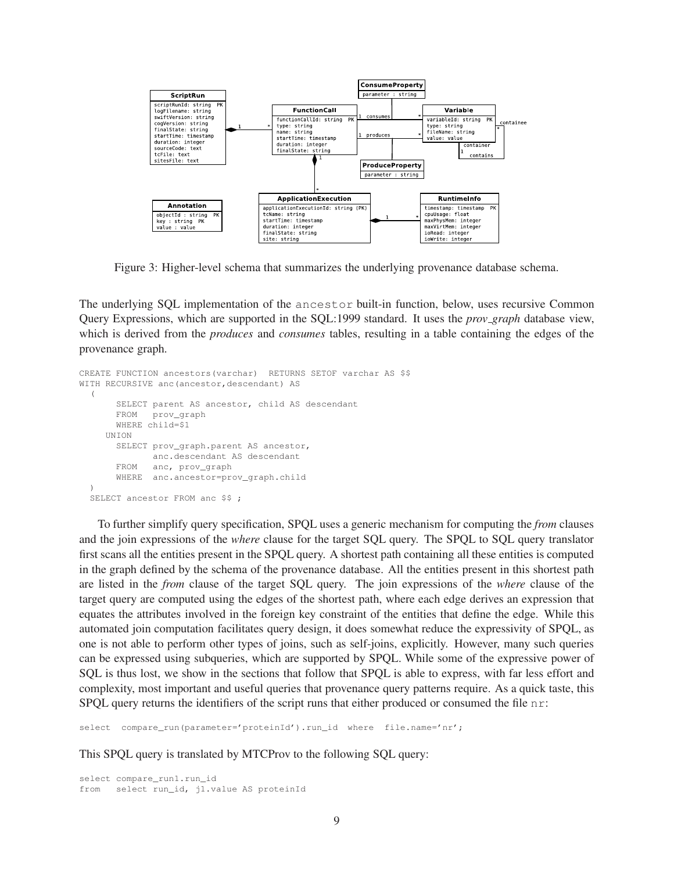

Figure 3: Higher-level schema that summarizes the underlying provenance database schema.

The underlying SQL implementation of the ancestor built-in function, below, uses recursive Common Query Expressions, which are supported in the SQL:1999 standard. It uses the *prov graph* database view, which is derived from the *produces* and *consumes* tables, resulting in a table containing the edges of the provenance graph.

```
CREATE FUNCTION ancestors(varchar) RETURNS SETOF varchar AS $$
WITH RECURSIVE anc (ancestor, descendant) AS
  (
       SELECT parent AS ancestor, child AS descendant
      FROM prov_graph
      WHERE child=$1
     UNION
       SELECT prov_graph.parent AS ancestor,
             anc.descendant AS descendant
       FROM anc, prov_graph
       WHERE anc.ancestor=prov_graph.child
  \lambdaSELECT ancestor FROM anc $$ ;
```
To further simplify query specification, SPQL uses a generic mechanism for computing the *from* clauses and the join expressions of the *where* clause for the target SQL query. The SPQL to SQL query translator first scans all the entities present in the SPQL query. A shortest path containing all these entities is computed in the graph defined by the schema of the provenance database. All the entities present in this shortest path are listed in the *from* clause of the target SQL query. The join expressions of the *where* clause of the target query are computed using the edges of the shortest path, where each edge derives an expression that equates the attributes involved in the foreign key constraint of the entities that define the edge. While this automated join computation facilitates query design, it does somewhat reduce the expressivity of SPQL, as one is not able to perform other types of joins, such as self-joins, explicitly. However, many such queries can be expressed using subqueries, which are supported by SPQL. While some of the expressive power of SQL is thus lost, we show in the sections that follow that SPQL is able to express, with far less effort and complexity, most important and useful queries that provenance query patterns require. As a quick taste, this SPOL query returns the identifiers of the script runs that either produced or consumed the file nr:

select compare\_run(parameter='proteinId').run\_id where file.name='nr';

This SPQL query is translated by MTCProv to the following SQL query:

select compare run1.run\_id from select run\_id, j1.value AS proteinId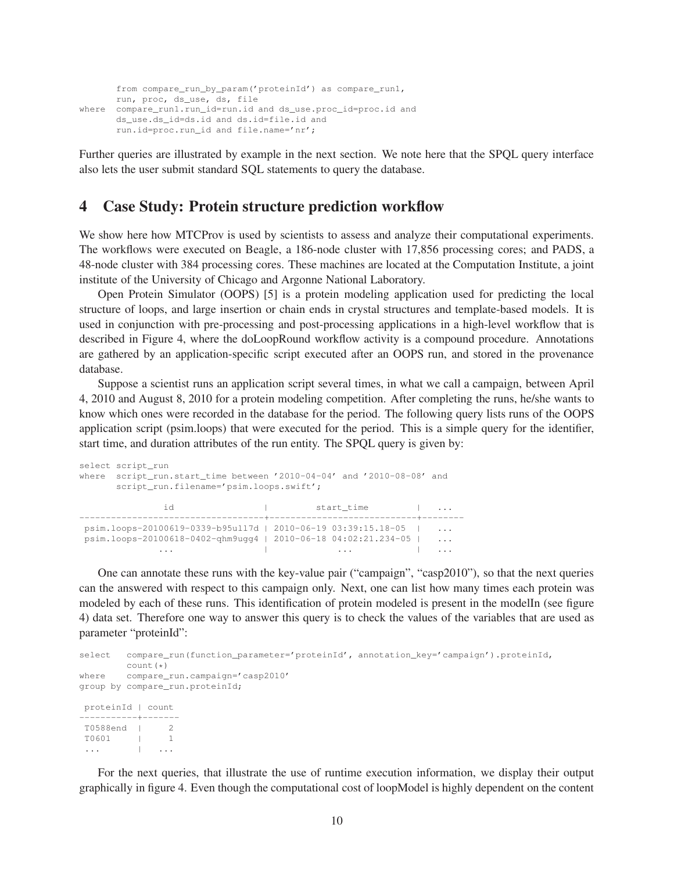```
from compare_run_by_param('proteinId') as compare_run1,
      run, proc, ds_use, ds, file
where compare_run1.run_id=run.id and ds_use.proc_id=proc.id and
      ds use.ds id=ds.id and ds.id=file.id and
      run.id=proc.run_id and file.name='nr';
```
Further queries are illustrated by example in the next section. We note here that the SPQL query interface also lets the user submit standard SQL statements to query the database.

# 4 Case Study: Protein structure prediction workflow

We show here how MTCProv is used by scientists to assess and analyze their computational experiments. The workflows were executed on Beagle, a 186-node cluster with 17,856 processing cores; and PADS, a 48-node cluster with 384 processing cores. These machines are located at the Computation Institute, a joint institute of the University of Chicago and Argonne National Laboratory.

Open Protein Simulator (OOPS) [5] is a protein modeling application used for predicting the local structure of loops, and large insertion or chain ends in crystal structures and template-based models. It is used in conjunction with pre-processing and post-processing applications in a high-level workflow that is described in Figure 4, where the doLoopRound workflow activity is a compound procedure. Annotations are gathered by an application-specific script executed after an OOPS run, and stored in the provenance database.

Suppose a scientist runs an application script several times, in what we call a campaign, between April 4, 2010 and August 8, 2010 for a protein modeling competition. After completing the runs, he/she wants to know which ones were recorded in the database for the period. The following query lists runs of the OOPS application script (psim.loops) that were executed for the period. This is a simple query for the identifier, start time, and duration attributes of the run entity. The SPQL query is given by:

```
select script_run
where script_run.start_time between '2010-04-04' and '2010-08-08' and
     script_run.filename='psim.loops.swift';
             id | start_time | ...
-----------------------------------+----------------------------+--------
psim.loops-20100619-0339-b95ull7d | 2010-06-19 03:39:15.18-05 | ...
psim.loops-20100618-0402-qhm9ugg4 | 2010-06-18 04:02:21.234-05 | ...
             ... | ... | ...
```
One can annotate these runs with the key-value pair ("campaign", "casp2010"), so that the next queries can the answered with respect to this campaign only. Next, one can list how many times each protein was modeled by each of these runs. This identification of protein modeled is present in the modelIn (see figure 4) data set. Therefore one way to answer this query is to check the values of the variables that are used as parameter "proteinId":

```
select compare_run(function_parameter='proteinId', annotation_key='campaign').proteinId,
        count(*)where compare_run.campaign='casp2010'
group by compare_run.proteinId;
proteinId | count
  -----------+-------
T0588end | 2<br>T0601 | 1
T0601 |
 ... | ...
```
For the next queries, that illustrate the use of runtime execution information, we display their output graphically in figure 4. Even though the computational cost of loopModel is highly dependent on the content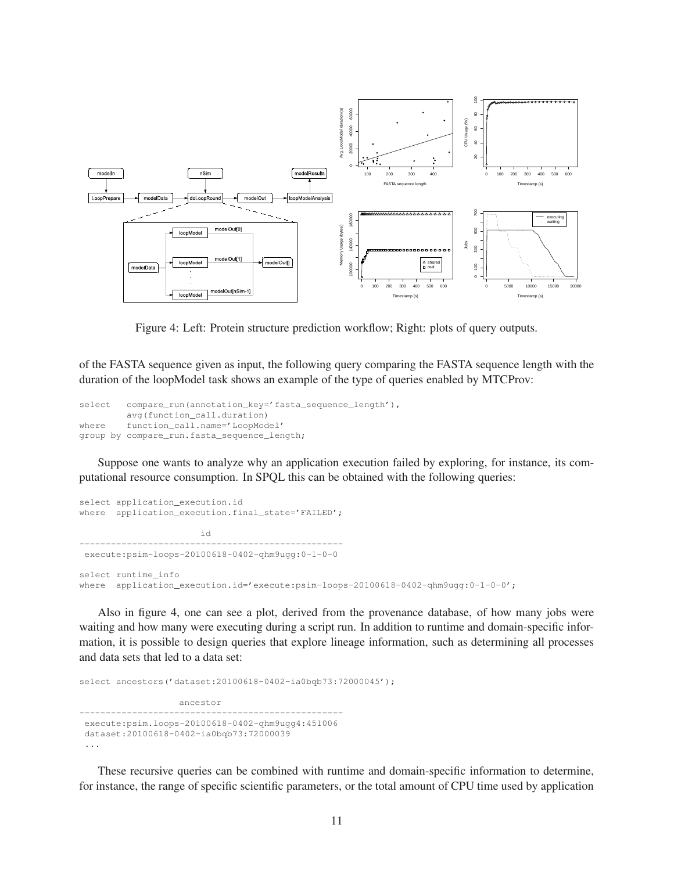

Figure 4: Left: Protein structure prediction workflow; Right: plots of query outputs.

of the FASTA sequence given as input, the following query comparing the FASTA sequence length with the duration of the loopModel task shows an example of the type of queries enabled by MTCProv:

```
select compare_run(annotation_key='fasta_sequence_length'),
        avg(function_call.duration)
where function_call.name='LoopModel'
group by compare_run.fasta_sequence_length;
```
Suppose one wants to analyze why an application execution failed by exploring, for instance, its computational resource consumption. In SPQL this can be obtained with the following queries:

```
select application_execution.id
where application_execution.final_state='FAILED';
                       id
--------------------------------------------------
execute:psim-loops-20100618-0402-qhm9ugg:0-1-0-0
select runtime_info
where application_execution.id='execute:psim-loops-20100618-0402-qhm9ugg:0-1-0-0';
```
Also in figure 4, one can see a plot, derived from the provenance database, of how many jobs were waiting and how many were executing during a script run. In addition to runtime and domain-specific information, it is possible to design queries that explore lineage information, such as determining all processes and data sets that led to a data set:

```
select ancestors('dataset:20100618-0402-ia0bqb73:72000045');
                   ancestor
--------------------------------------------------
execute:psim.loops-20100618-0402-qhm9ugg4:451006
dataset:20100618-0402-ia0bqb73:72000039
 ...
```
These recursive queries can be combined with runtime and domain-specific information to determine, for instance, the range of specific scientific parameters, or the total amount of CPU time used by application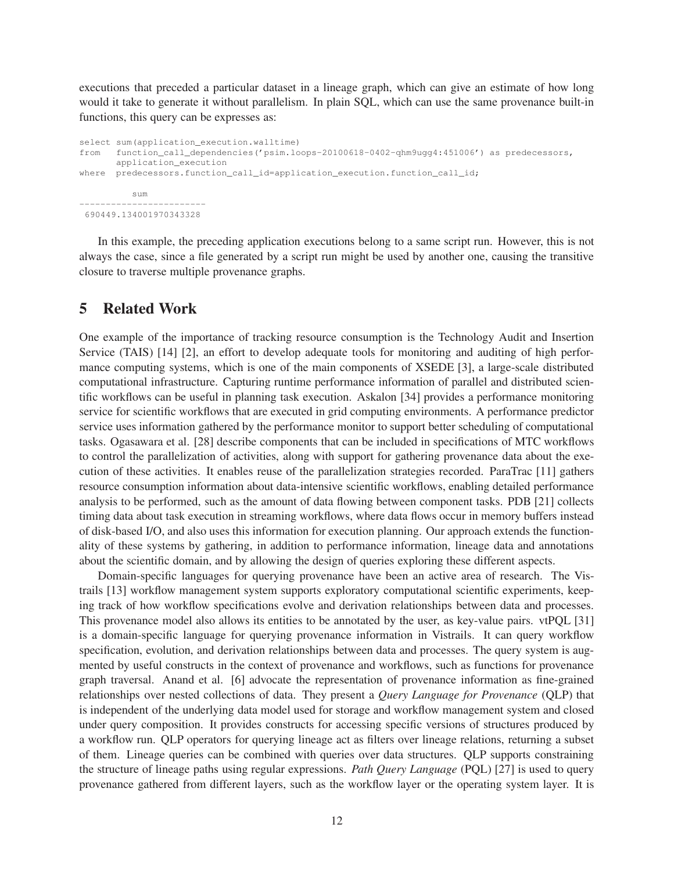executions that preceded a particular dataset in a lineage graph, which can give an estimate of how long would it take to generate it without parallelism. In plain SQL, which can use the same provenance built-in functions, this query can be expresses as:

```
select sum(application execution.walltime)
from function_call_dependencies('psim.loops-20100618-0402-qhm9ugg4:451006') as predecessors,
       application_execution
where predecessors.function_call_id=application_execution.function_call_id;
         sum
------------------------
 690449.134001970343328
```
In this example, the preceding application executions belong to a same script run. However, this is not always the case, since a file generated by a script run might be used by another one, causing the transitive closure to traverse multiple provenance graphs.

# 5 Related Work

One example of the importance of tracking resource consumption is the Technology Audit and Insertion Service (TAIS) [14] [2], an effort to develop adequate tools for monitoring and auditing of high performance computing systems, which is one of the main components of XSEDE [3], a large-scale distributed computational infrastructure. Capturing runtime performance information of parallel and distributed scientific workflows can be useful in planning task execution. Askalon [34] provides a performance monitoring service for scientific workflows that are executed in grid computing environments. A performance predictor service uses information gathered by the performance monitor to support better scheduling of computational tasks. Ogasawara et al. [28] describe components that can be included in specifications of MTC workflows to control the parallelization of activities, along with support for gathering provenance data about the execution of these activities. It enables reuse of the parallelization strategies recorded. ParaTrac [11] gathers resource consumption information about data-intensive scientific workflows, enabling detailed performance analysis to be performed, such as the amount of data flowing between component tasks. PDB [21] collects timing data about task execution in streaming workflows, where data flows occur in memory buffers instead of disk-based I/O, and also uses this information for execution planning. Our approach extends the functionality of these systems by gathering, in addition to performance information, lineage data and annotations about the scientific domain, and by allowing the design of queries exploring these different aspects.

Domain-specific languages for querying provenance have been an active area of research. The Vistrails [13] workflow management system supports exploratory computational scientific experiments, keeping track of how workflow specifications evolve and derivation relationships between data and processes. This provenance model also allows its entities to be annotated by the user, as key-value pairs. vtPQL [31] is a domain-specific language for querying provenance information in Vistrails. It can query workflow specification, evolution, and derivation relationships between data and processes. The query system is augmented by useful constructs in the context of provenance and workflows, such as functions for provenance graph traversal. Anand et al. [6] advocate the representation of provenance information as fine-grained relationships over nested collections of data. They present a *Query Language for Provenance* (QLP) that is independent of the underlying data model used for storage and workflow management system and closed under query composition. It provides constructs for accessing specific versions of structures produced by a workflow run. QLP operators for querying lineage act as filters over lineage relations, returning a subset of them. Lineage queries can be combined with queries over data structures. QLP supports constraining the structure of lineage paths using regular expressions. *Path Query Language* (PQL) [27] is used to query provenance gathered from different layers, such as the workflow layer or the operating system layer. It is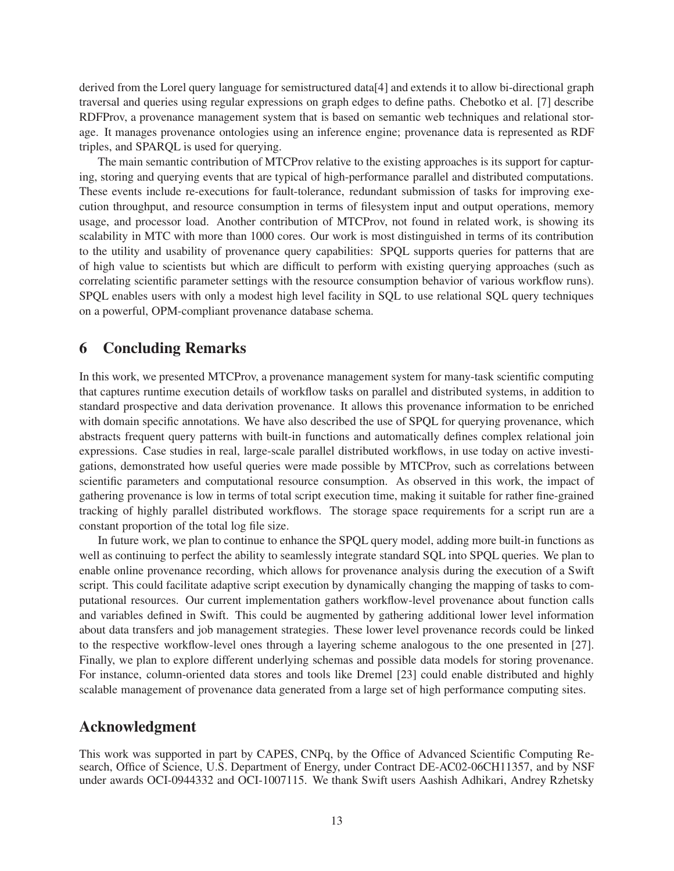derived from the Lorel query language for semistructured data[4] and extends it to allow bi-directional graph traversal and queries using regular expressions on graph edges to define paths. Chebotko et al. [7] describe RDFProv, a provenance management system that is based on semantic web techniques and relational storage. It manages provenance ontologies using an inference engine; provenance data is represented as RDF triples, and SPARQL is used for querying.

The main semantic contribution of MTCProv relative to the existing approaches is its support for capturing, storing and querying events that are typical of high-performance parallel and distributed computations. These events include re-executions for fault-tolerance, redundant submission of tasks for improving execution throughput, and resource consumption in terms of filesystem input and output operations, memory usage, and processor load. Another contribution of MTCProv, not found in related work, is showing its scalability in MTC with more than 1000 cores. Our work is most distinguished in terms of its contribution to the utility and usability of provenance query capabilities: SPQL supports queries for patterns that are of high value to scientists but which are difficult to perform with existing querying approaches (such as correlating scientific parameter settings with the resource consumption behavior of various workflow runs). SPQL enables users with only a modest high level facility in SQL to use relational SQL query techniques on a powerful, OPM-compliant provenance database schema.

# 6 Concluding Remarks

In this work, we presented MTCProv, a provenance management system for many-task scientific computing that captures runtime execution details of workflow tasks on parallel and distributed systems, in addition to standard prospective and data derivation provenance. It allows this provenance information to be enriched with domain specific annotations. We have also described the use of SPQL for querying provenance, which abstracts frequent query patterns with built-in functions and automatically defines complex relational join expressions. Case studies in real, large-scale parallel distributed workflows, in use today on active investigations, demonstrated how useful queries were made possible by MTCProv, such as correlations between scientific parameters and computational resource consumption. As observed in this work, the impact of gathering provenance is low in terms of total script execution time, making it suitable for rather fine-grained tracking of highly parallel distributed workflows. The storage space requirements for a script run are a constant proportion of the total log file size.

In future work, we plan to continue to enhance the SPQL query model, adding more built-in functions as well as continuing to perfect the ability to seamlessly integrate standard SQL into SPQL queries. We plan to enable online provenance recording, which allows for provenance analysis during the execution of a Swift script. This could facilitate adaptive script execution by dynamically changing the mapping of tasks to computational resources. Our current implementation gathers workflow-level provenance about function calls and variables defined in Swift. This could be augmented by gathering additional lower level information about data transfers and job management strategies. These lower level provenance records could be linked to the respective workflow-level ones through a layering scheme analogous to the one presented in [27]. Finally, we plan to explore different underlying schemas and possible data models for storing provenance. For instance, column-oriented data stores and tools like Dremel [23] could enable distributed and highly scalable management of provenance data generated from a large set of high performance computing sites.

# Acknowledgment

This work was supported in part by CAPES, CNPq, by the Office of Advanced Scientific Computing Research, Office of Science, U.S. Department of Energy, under Contract DE-AC02-06CH11357, and by NSF under awards OCI-0944332 and OCI-1007115. We thank Swift users Aashish Adhikari, Andrey Rzhetsky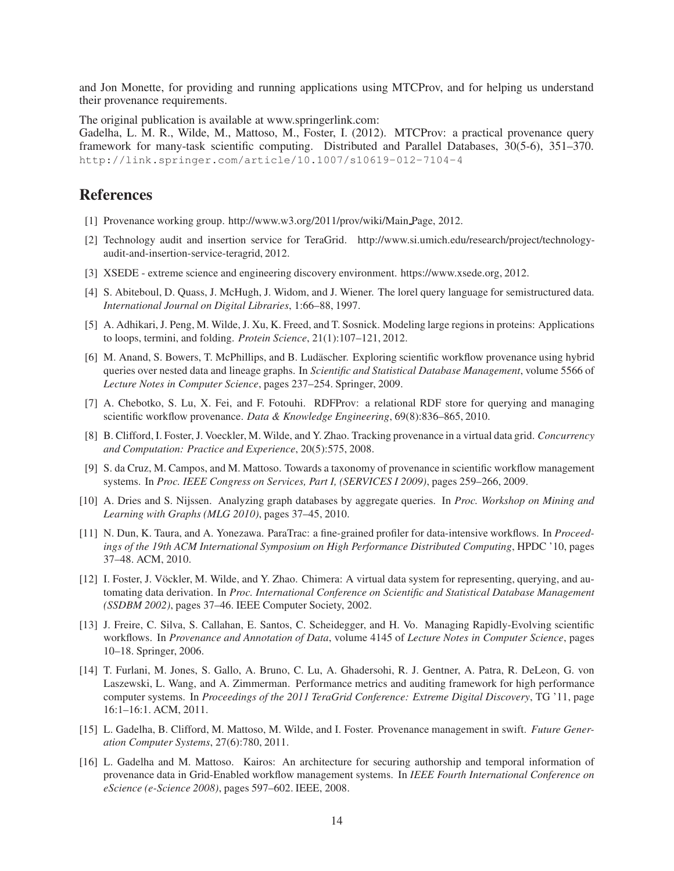and Jon Monette, for providing and running applications using MTCProv, and for helping us understand their provenance requirements.

The original publication is available at www.springerlink.com:

Gadelha, L. M. R., Wilde, M., Mattoso, M., Foster, I. (2012). MTCProv: a practical provenance query framework for many-task scientific computing. Distributed and Parallel Databases, 30(5-6), 351–370. http://link.springer.com/article/10.1007/s10619-012-7104-4

# References

- [1] Provenance working group. http://www.w3.org/2011/prov/wiki/Main Page, 2012.
- [2] Technology audit and insertion service for TeraGrid. http://www.si.umich.edu/research/project/technologyaudit-and-insertion-service-teragrid, 2012.
- [3] XSEDE extreme science and engineering discovery environment. https://www.xsede.org, 2012.
- [4] S. Abiteboul, D. Quass, J. McHugh, J. Widom, and J. Wiener. The lorel query language for semistructured data. *International Journal on Digital Libraries*, 1:66–88, 1997.
- [5] A. Adhikari, J. Peng, M. Wilde, J. Xu, K. Freed, and T. Sosnick. Modeling large regions in proteins: Applications to loops, termini, and folding. *Protein Science*, 21(1):107–121, 2012.
- [6] M. Anand, S. Bowers, T. McPhillips, and B. Ludäscher. Exploring scientific workflow provenance using hybrid queries over nested data and lineage graphs. In *Scientific and Statistical Database Management*, volume 5566 of *Lecture Notes in Computer Science*, pages 237–254. Springer, 2009.
- [7] A. Chebotko, S. Lu, X. Fei, and F. Fotouhi. RDFProv: a relational RDF store for querying and managing scientific workflow provenance. *Data & Knowledge Engineering*, 69(8):836–865, 2010.
- [8] B. Clifford, I. Foster, J. Voeckler, M. Wilde, and Y. Zhao. Tracking provenance in a virtual data grid. *Concurrency and Computation: Practice and Experience*, 20(5):575, 2008.
- [9] S. da Cruz, M. Campos, and M. Mattoso. Towards a taxonomy of provenance in scientific workflow management systems. In *Proc. IEEE Congress on Services, Part I, (SERVICES I 2009)*, pages 259–266, 2009.
- [10] A. Dries and S. Nijssen. Analyzing graph databases by aggregate queries. In *Proc. Workshop on Mining and Learning with Graphs (MLG 2010)*, pages 37–45, 2010.
- [11] N. Dun, K. Taura, and A. Yonezawa. ParaTrac: a fine-grained profiler for data-intensive workflows. In *Proceedings of the 19th ACM International Symposium on High Performance Distributed Computing*, HPDC '10, pages 37–48. ACM, 2010.
- [12] I. Foster, J. Vöckler, M. Wilde, and Y. Zhao. Chimera: A virtual data system for representing, querying, and automating data derivation. In *Proc. International Conference on Scientific and Statistical Database Management (SSDBM 2002)*, pages 37–46. IEEE Computer Society, 2002.
- [13] J. Freire, C. Silva, S. Callahan, E. Santos, C. Scheidegger, and H. Vo. Managing Rapidly-Evolving scientific workflows. In *Provenance and Annotation of Data*, volume 4145 of *Lecture Notes in Computer Science*, pages 10–18. Springer, 2006.
- [14] T. Furlani, M. Jones, S. Gallo, A. Bruno, C. Lu, A. Ghadersohi, R. J. Gentner, A. Patra, R. DeLeon, G. von Laszewski, L. Wang, and A. Zimmerman. Performance metrics and auditing framework for high performance computer systems. In *Proceedings of the 2011 TeraGrid Conference: Extreme Digital Discovery*, TG '11, page 16:1–16:1. ACM, 2011.
- [15] L. Gadelha, B. Clifford, M. Mattoso, M. Wilde, and I. Foster. Provenance management in swift. *Future Generation Computer Systems*, 27(6):780, 2011.
- [16] L. Gadelha and M. Mattoso. Kairos: An architecture for securing authorship and temporal information of provenance data in Grid-Enabled workflow management systems. In *IEEE Fourth International Conference on eScience (e-Science 2008)*, pages 597–602. IEEE, 2008.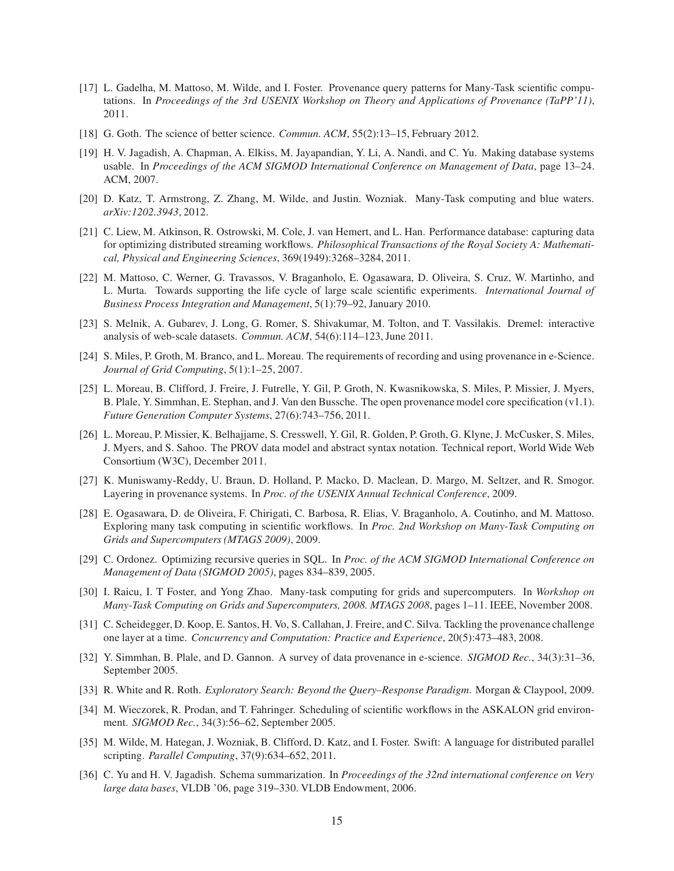- [17] L. Gadelha, M. Mattoso, M. Wilde, and I. Foster. Provenance query patterns for Many-Task scientific computations. In *Proceedings of the 3rd USENIX Workshop on Theory and Applications of Provenance (TaPP'11)*, 2011.
- [18] G. Goth. The science of better science. *Commun. ACM*, 55(2):13–15, February 2012.
- [19] H. V. Jagadish, A. Chapman, A. Elkiss, M. Jayapandian, Y. Li, A. Nandi, and C. Yu. Making database systems usable. In *Proceedings of the ACM SIGMOD International Conference on Management of Data*, page 13–24. ACM, 2007.
- [20] D. Katz, T. Armstrong, Z. Zhang, M. Wilde, and Justin. Wozniak. Many-Task computing and blue waters. *arXiv:1202.3943*, 2012.
- [21] C. Liew, M. Atkinson, R. Ostrowski, M. Cole, J. van Hemert, and L. Han. Performance database: capturing data for optimizing distributed streaming workflows. *Philosophical Transactions of the Royal Society A: Mathematical, Physical and Engineering Sciences*, 369(1949):3268–3284, 2011.
- [22] M. Mattoso, C. Werner, G. Travassos, V. Braganholo, E. Ogasawara, D. Oliveira, S. Cruz, W. Martinho, and L. Murta. Towards supporting the life cycle of large scale scientific experiments. *International Journal of Business Process Integration and Management*, 5(1):79–92, January 2010.
- [23] S. Melnik, A. Gubarev, J. Long, G. Romer, S. Shivakumar, M. Tolton, and T. Vassilakis. Dremel: interactive analysis of web-scale datasets. *Commun. ACM*, 54(6):114–123, June 2011.
- [24] S. Miles, P. Groth, M. Branco, and L. Moreau. The requirements of recording and using provenance in e-Science. *Journal of Grid Computing*, 5(1):1–25, 2007.
- [25] L. Moreau, B. Clifford, J. Freire, J. Futrelle, Y. Gil, P. Groth, N. Kwasnikowska, S. Miles, P. Missier, J. Myers, B. Plale, Y. Simmhan, E. Stephan, and J. Van den Bussche. The open provenance model core specification (v1.1). *Future Generation Computer Systems*, 27(6):743–756, 2011.
- [26] L. Moreau, P. Missier, K. Belhajjame, S. Cresswell, Y. Gil, R. Golden, P. Groth, G. Klyne, J. McCusker, S. Miles, J. Myers, and S. Sahoo. The PROV data model and abstract syntax notation. Technical report, World Wide Web Consortium (W3C), December 2011.
- [27] K. Muniswamy-Reddy, U. Braun, D. Holland, P. Macko, D. Maclean, D. Margo, M. Seltzer, and R. Smogor. Layering in provenance systems. In *Proc. of the USENIX Annual Technical Conference*, 2009.
- [28] E. Ogasawara, D. de Oliveira, F. Chirigati, C. Barbosa, R. Elias, V. Braganholo, A. Coutinho, and M. Mattoso. Exploring many task computing in scientific workflows. In *Proc. 2nd Workshop on Many-Task Computing on Grids and Supercomputers (MTAGS 2009)*, 2009.
- [29] C. Ordonez. Optimizing recursive queries in SQL. In *Proc. of the ACM SIGMOD International Conference on Management of Data (SIGMOD 2005)*, pages 834–839, 2005.
- [30] I. Raicu, I. T Foster, and Yong Zhao. Many-task computing for grids and supercomputers. In *Workshop on Many-Task Computing on Grids and Supercomputers, 2008. MTAGS 2008*, pages 1–11. IEEE, November 2008.
- [31] C. Scheidegger, D. Koop, E. Santos, H. Vo, S. Callahan, J. Freire, and C. Silva. Tackling the provenance challenge one layer at a time. *Concurrency and Computation: Practice and Experience*, 20(5):473–483, 2008.
- [32] Y. Simmhan, B. Plale, and D. Gannon. A survey of data provenance in e-science. *SIGMOD Rec.*, 34(3):31–36, September 2005.
- [33] R. White and R. Roth. *Exploratory Search: Beyond the Query–Response Paradigm*. Morgan & Claypool, 2009.
- [34] M. Wieczorek, R. Prodan, and T. Fahringer. Scheduling of scientific workflows in the ASKALON grid environment. *SIGMOD Rec.*, 34(3):56–62, September 2005.
- [35] M. Wilde, M. Hategan, J. Wozniak, B. Clifford, D. Katz, and I. Foster. Swift: A language for distributed parallel scripting. *Parallel Computing*, 37(9):634–652, 2011.
- [36] C. Yu and H. V. Jagadish. Schema summarization. In *Proceedings of the 32nd international conference on Very large data bases*, VLDB '06, page 319–330. VLDB Endowment, 2006.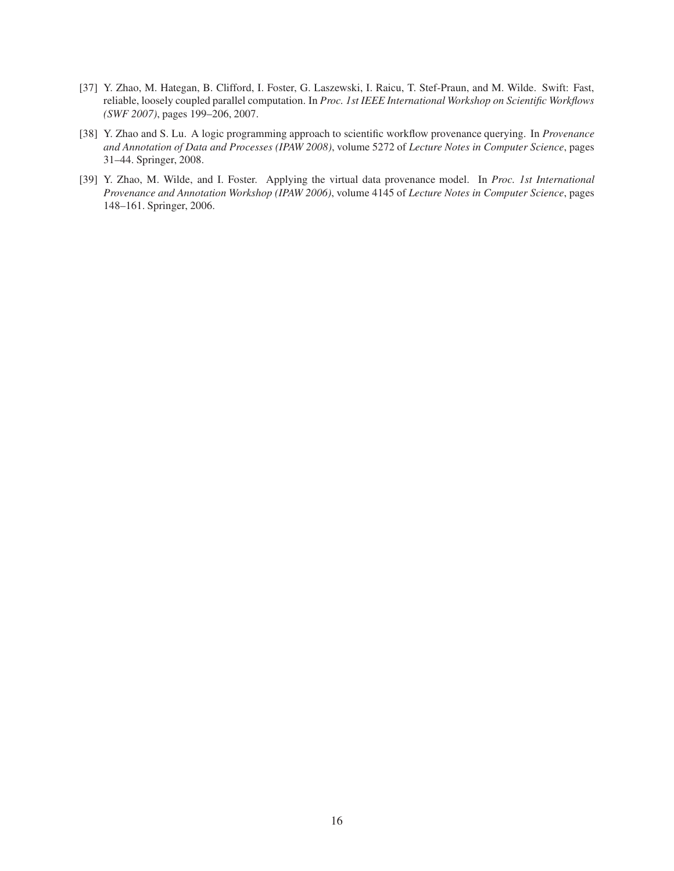- [37] Y. Zhao, M. Hategan, B. Clifford, I. Foster, G. Laszewski, I. Raicu, T. Stef-Praun, and M. Wilde. Swift: Fast, reliable, loosely coupled parallel computation. In *Proc. 1st IEEE International Workshop on Scientific Workflows (SWF 2007)*, pages 199–206, 2007.
- [38] Y. Zhao and S. Lu. A logic programming approach to scientific workflow provenance querying. In *Provenance and Annotation of Data and Processes (IPAW 2008)*, volume 5272 of *Lecture Notes in Computer Science*, pages 31–44. Springer, 2008.
- [39] Y. Zhao, M. Wilde, and I. Foster. Applying the virtual data provenance model. In *Proc. 1st International Provenance and Annotation Workshop (IPAW 2006)*, volume 4145 of *Lecture Notes in Computer Science*, pages 148–161. Springer, 2006.